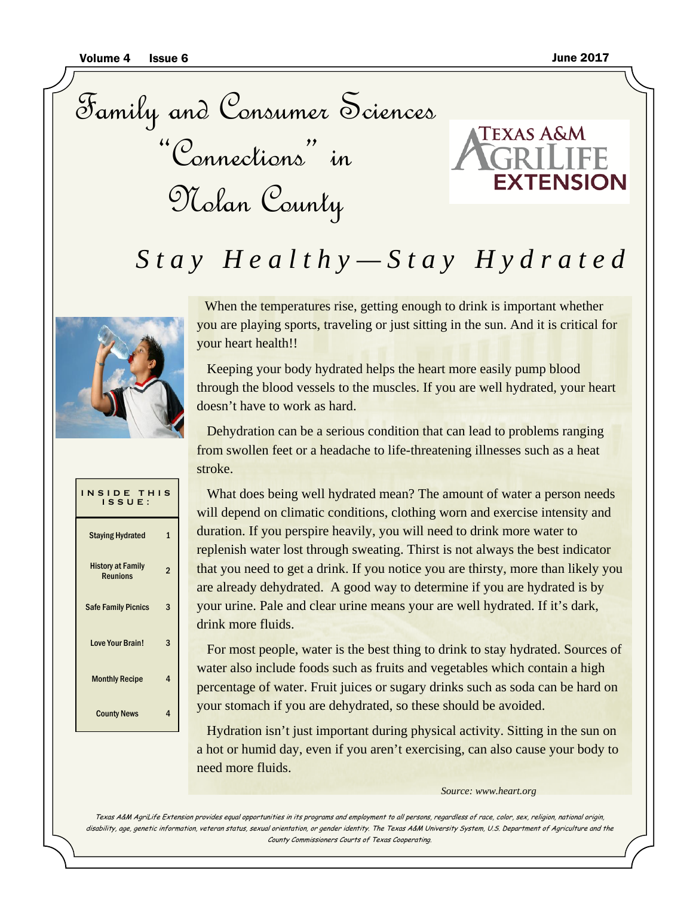Family and Consumer Sciences "Connections" in Nolan County



# *Stay Healthy—Stay Hydrated*



When the temperatures rise, getting enough to drink is important whether you are playing sports, traveling or just sitting in the sun. And it is critical for your heart health!!

 Keeping your body hydrated helps the heart more easily pump blood through the blood vessels to the muscles. If you are well hydrated, your heart doesn't have to work as hard.

 Dehydration can be a serious condition that can lead to problems ranging from swollen feet or a headache to life-threatening illnesses such as a heat stroke.



 For most people, water is the best thing to drink to stay hydrated. Sources of water also include foods such as fruits and vegetables which contain a high percentage of water. Fruit juices or sugary drinks such as soda can be hard on your stomach if you are dehydrated, so these should be avoided.

 Hydration isn't just important during physical activity. Sitting in the sun on a hot or humid day, even if you aren't exercising, can also cause your body to need more fluids.

*Source: www.heart.org*

Texas A&M AgriLife Extension provides equal opportunities in its programs and employment to all persons, regardless of race, color, sex, religion, national origin, disability, age, genetic information, veteran status, sexual orientation, or gender identity. The Texas A&M University System, U.S. Department of Agriculture and the County Commissioners Courts of Texas Cooperating.

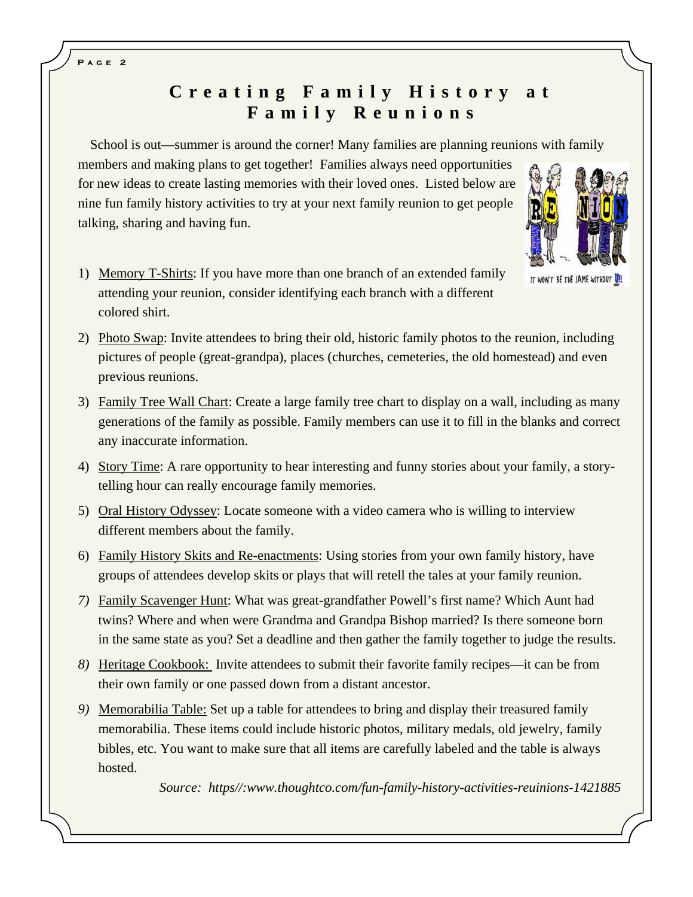# **Creating Family History at F a m i l y R e u n i o n s**

School is out—summer is around the corner! Many families are planning reunions with family

members and making plans to get together! Families always need opportunities for new ideas to create lasting memories with their loved ones. Listed below are nine fun family history activities to try at your next family reunion to get people talking, sharing and having fun.



- IT WON'T BE THE SAME WITHOUT U
- 1) Memory T-Shirts: If you have more than one branch of an extended family attending your reunion, consider identifying each branch with a different colored shirt.
- 2) Photo Swap: Invite attendees to bring their old, historic family photos to the reunion, including pictures of people (great-grandpa), places (churches, cemeteries, the old homestead) and even previous reunions.
- 3) Family Tree Wall Chart: Create a large family tree chart to display on a wall, including as many generations of the family as possible. Family members can use it to fill in the blanks and correct any inaccurate information.
- 4) Story Time: A rare opportunity to hear interesting and funny stories about your family, a storytelling hour can really encourage family memories.
- 5) Oral History Odyssey: Locate someone with a video camera who is willing to interview different members about the family.
- 6) Family History Skits and Re-enactments: Using stories from your own family history, have groups of attendees develop skits or plays that will retell the tales at your family reunion.
- *7)* Family Scavenger Hunt: What was great-grandfather Powell's first name? Which Aunt had twins? Where and when were Grandma and Grandpa Bishop married? Is there someone born in the same state as you? Set a deadline and then gather the family together to judge the results.
- *8)* Heritage Cookbook: Invite attendees to submit their favorite family recipes—it can be from their own family or one passed down from a distant ancestor.
- *9)* Memorabilia Table: Set up a table for attendees to bring and display their treasured family memorabilia. These items could include historic photos, military medals, old jewelry, family bibles, etc. You want to make sure that all items are carefully labeled and the table is always hosted.

*Source: https//:www.thoughtco.com/fun-family-history-activities-reuinions-1421885* 

**Page 2**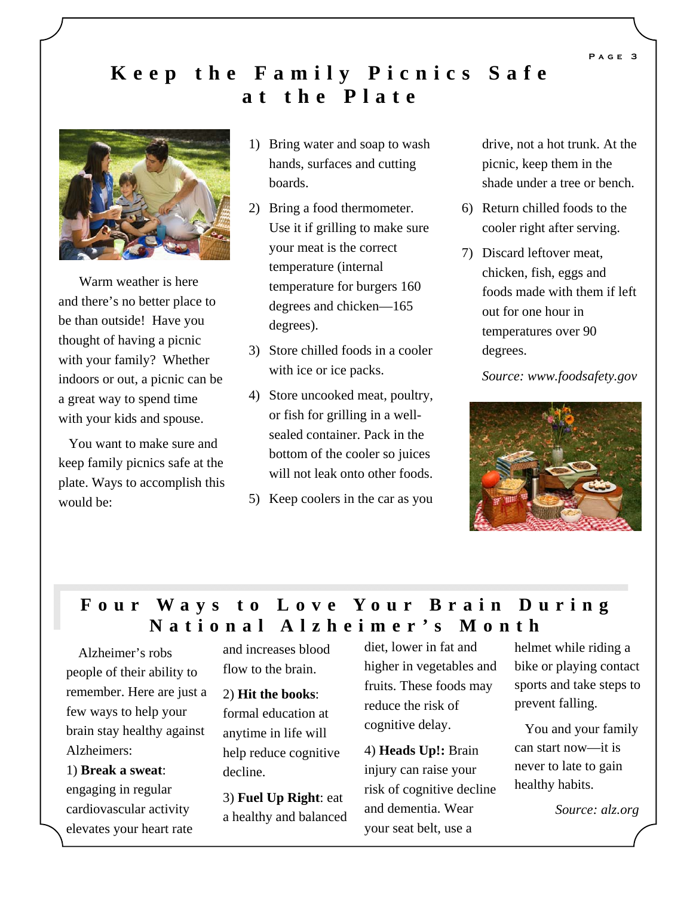## **Keep the Family Picnics Safe at the Plate**



 Warm weather is here and there's no better place to be than outside! Have you thought of having a picnic with your family? Whether indoors or out, a picnic can be a great way to spend time with your kids and spouse.

 You want to make sure and keep family picnics safe at the plate. Ways to accomplish this would be:

- 1) Bring water and soap to wash hands, surfaces and cutting boards.
- 2) Bring a food thermometer. Use it if grilling to make sure your meat is the correct temperature (internal temperature for burgers 160 degrees and chicken—165 degrees).
- 3) Store chilled foods in a cooler with ice or ice packs.
- 4) Store uncooked meat, poultry, or fish for grilling in a wellsealed container. Pack in the bottom of the cooler so juices will not leak onto other foods.
- 5) Keep coolers in the car as you

drive, not a hot trunk. At the picnic, keep them in the shade under a tree or bench.

- 6) Return chilled foods to the cooler right after serving.
- 7) Discard leftover meat, chicken, fish, eggs and foods made with them if left out for one hour in temperatures over 90 degrees.

 *Source: www.foodsafety.gov* 



### **Four Ways to Love Your Brain During National Alzheimer's Month**

 Alzheimer's robs people of their ability to remember. Here are just a few ways to help your brain stay healthy against Alzheimers:

1) **Break a sweat**: engaging in regular cardiovascular activity elevates your heart rate

and increases blood flow to the brain.

2) **Hit the books**: formal education at anytime in life will help reduce cognitive decline.

3) **Fuel Up Right**: eat a healthy and balanced diet, lower in fat and higher in vegetables and fruits. These foods may reduce the risk of cognitive delay.

4) **Heads Up!:** Brain injury can raise your risk of cognitive decline and dementia. Wear your seat belt, use a

helmet while riding a bike or playing contact sports and take steps to prevent falling.

 You and your family can start now—it is never to late to gain healthy habits.

*Source: alz.org* 

**Page 3**